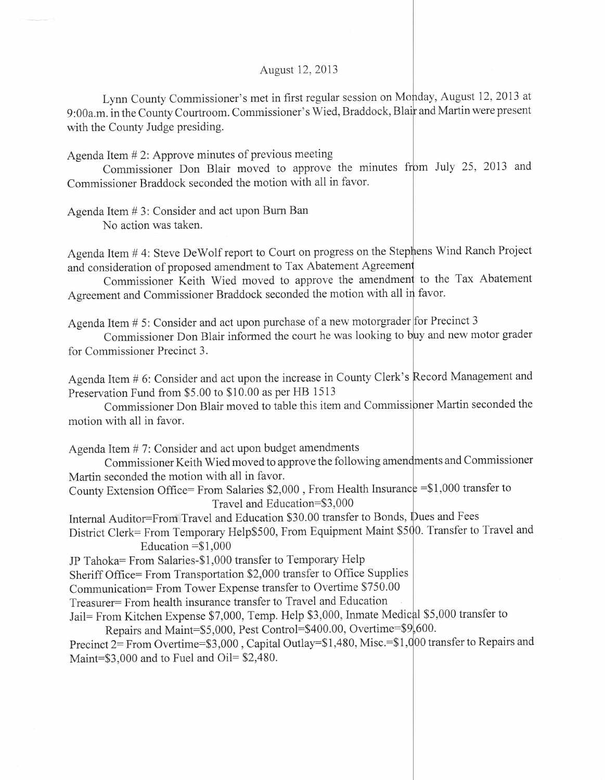## August 12,2013

Lynn County Commissioner's met in first regular session on Monday, August 12, 2013 at 9:00a.m. in the County Courtroom. Commissioner's Wied, Braddock, Blair and Martin were present with the County Judge presiding.

Agenda Item # 2: Approve minutes of previous meeting

Commissioner Don Blair moved to approve the minutes from July 25, 2013 and Commissioner Braddock seconded the motion with all in favor.

Agenda Item # 3: Consider and act upon Bum Ban No action was taken.

Agenda Item # 4: Steve DeWolf report to Court on progress on the Stephens Wind Ranch Project and consideration of proposed amendment to Tax Abatement Agree

Commissioner Keith Wied moved to approve the amendment to the Tax Abatement Agreement and Commissioner Braddock seconded the motion with all in favor.

Agenda Item  $# 5$ : Consider and act upon purchase of a new motorgrader for Precinct 3

Commissioner Don Blair informed the court he was looking to buy and new motor grader for Commissioner Precinct 3.

Agenda Item # 6: Consider and act upon the increase in County Clerk's Record Management and Preservation Fund from \$5.00 to \$10.00 as per HB 1513

Commissioner Don Blair moved to table this item and Commissioner Martin seconded the motion with all in favor.

Agenda Item # 7: Consider and act upon budget amendments

Commissioner Keith Wied moved to approve the following amendments and Commissioner Martin seconded the motion with all in favor.

County Extension Office= From Salaries  $$2,000$ , From Health Insurance = \$1,000 transfer to Travel and Education=\$3,000

Internal Auditor=From Travel and Education \$30.00 transfer to Bonds, Dues and Fees

District Clerk= From Temporary Help\$500, From Equipment Maint \$500. Transfer to Travel and Education  $= $1,000$ 

JP Tahoka= From Salaries-\$1,000 transfer to Temporary Help

Sheriff Office= From Transportation \$2,000 transfer to Office Supplies

Communication= From Tower Expense transfer to Overtime \$750.00

Treasurer= From health insurance transfer to Travel and Education

Jail= From Kitchen Expense \$7,000, Temp. Help \$3,000, Inmate Medical \$5,000 transfer to

Repairs and Maint=\$5,000, Pest Control=\$400.00, Overtime=\$9,600.

Precinct 2= From Overtime=\$3,000 , Capital Outlay=\$1,480, Misc.=\$1,000 transfer to Repairs and Maint= $$3,000$  and to Fuel and Oil= $$2,480$ .